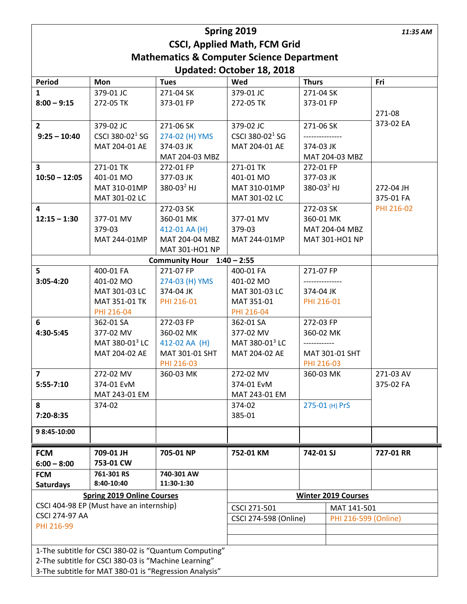| Spring 2019                                              |                             |                                 |                                                      |                                  |  | 11:35 AM   |
|----------------------------------------------------------|-----------------------------|---------------------------------|------------------------------------------------------|----------------------------------|--|------------|
| <b>CSCI, Applied Math, FCM Grid</b>                      |                             |                                 |                                                      |                                  |  |            |
| <b>Mathematics &amp; Computer Science Department</b>     |                             |                                 |                                                      |                                  |  |            |
| Updated: October 18, 2018                                |                             |                                 |                                                      |                                  |  |            |
| Period                                                   | Mon                         | <b>Tues</b>                     | Wed                                                  | <b>Thurs</b>                     |  | Fri        |
| 1                                                        | 379-01 JC                   | 271-04 SK                       | 379-01 JC                                            | 271-04 SK                        |  |            |
| $8:00 - 9:15$                                            | 272-05 TK                   | 373-01 FP                       | 272-05 TK                                            | 373-01 FP                        |  |            |
|                                                          |                             |                                 |                                                      |                                  |  | 271-08     |
| $\overline{2}$                                           | 379-02 JC                   | 271-06 SK                       | 379-02 JC                                            | 271-06 SK                        |  | 373-02 EA  |
| $9:25 - 10:40$                                           | CSCI 380-02 <sup>1</sup> SG | 274-02 (H) YMS                  | CSCI 380-02 <sup>1</sup> SG                          |                                  |  |            |
|                                                          | MAT 204-01 AE               | 374-03 JK                       | MAT 204-01 AE                                        | 374-03 JK                        |  |            |
|                                                          |                             | MAT 204-03 MBZ                  |                                                      | MAT 204-03 MBZ                   |  |            |
| $\overline{\mathbf{3}}$                                  | 271-01 TK                   | 272-01 FP                       | 271-01 TK                                            | 272-01 FP                        |  |            |
| $10:50 - 12:05$                                          | 401-01 MO                   | 377-03 JK                       | 401-01 MO                                            | 377-03 JK                        |  |            |
|                                                          | MAT 310-01MP                | $380 - 032$ HJ                  | MAT 310-01MP                                         | 380-03 $^{2}$ HJ                 |  | 272-04 JH  |
|                                                          | MAT 301-02 LC               |                                 | MAT 301-02 LC                                        |                                  |  | 375-01 FA  |
| 4                                                        |                             | 272-03 SK                       |                                                      | 272-03 SK                        |  | PHI 216-02 |
| $12:15 - 1:30$                                           | 377-01 MV                   | 360-01 MK                       | 377-01 MV                                            | 360-01 MK                        |  |            |
|                                                          | 379-03<br>MAT 244-01MP      | 412-01 AA (H)<br>MAT 204-04 MBZ | 379-03<br>MAT 244-01MP                               | MAT 204-04 MBZ<br>MAT 301-HO1 NP |  |            |
|                                                          |                             |                                 |                                                      |                                  |  |            |
| MAT 301-HO1 NP<br>$1:40 - 2:55$<br><b>Community Hour</b> |                             |                                 |                                                      |                                  |  |            |
| 5                                                        | 400-01 FA                   | 271-07 FP                       | 400-01 FA                                            | 271-07 FP                        |  |            |
| $3:05-4:20$                                              | 401-02 MO                   | 274-03 (H) YMS                  | 401-02 MO                                            |                                  |  |            |
|                                                          | MAT 301-03 LC               | 374-04 JK                       | MAT 301-03 LC                                        | 374-04 JK                        |  |            |
|                                                          | MAT 351-01 TK               | PHI 216-01                      | MAT 351-01                                           | PHI 216-01                       |  |            |
|                                                          | PHI 216-04                  |                                 | PHI 216-04                                           |                                  |  |            |
| 6                                                        | 362-01 SA                   | 272-03 FP                       | 362-01 SA                                            | 272-03 FP                        |  |            |
| 4:30-5:45                                                | 377-02 MV                   | 360-02 MK                       | 377-02 MV                                            | 360-02 MK                        |  |            |
|                                                          | MAT 380-01 <sup>3</sup> LC  | 412-02 AA (H)                   | MAT 380-01 <sup>3</sup> LC                           | -------------                    |  |            |
|                                                          | MAT 204-02 AE               | MAT 301-01 SHT                  | MAT 204-02 AE                                        | MAT 301-01 SHT                   |  |            |
|                                                          |                             | PHI 216-03                      |                                                      | PHI 216-03                       |  |            |
| $\overline{7}$                                           | 272-02 MV                   | 360-03 MK                       | 272-02 MV                                            | 360-03 MK                        |  | 271-03 AV  |
| $5:55-7:10$                                              | 374-01 EvM                  |                                 | 374-01 EvM                                           |                                  |  | 375-02 FA  |
|                                                          | MAT 243-01 EM               |                                 | MAT 243-01 EM                                        |                                  |  |            |
| 8                                                        | 374-02                      |                                 | 374-02                                               | 275-01 (H) PrS                   |  |            |
| 7:20-8:35                                                |                             |                                 | 385-01                                               |                                  |  |            |
| 98:45-10:00                                              |                             |                                 |                                                      |                                  |  |            |
| <b>FCM</b>                                               | 709-01 JH                   | 705-01 NP                       | 752-01 KM                                            | 742-01 SJ                        |  | 727-01 RR  |
| $6:00 - 8:00$                                            | 753-01 CW                   |                                 |                                                      |                                  |  |            |
| <b>FCM</b>                                               | 761-301 RS                  | 740-301 AW                      |                                                      |                                  |  |            |
| <b>Saturdays</b>                                         | 8:40-10:40                  | 11:30-1:30                      |                                                      |                                  |  |            |
| <b>Spring 2019 Online Courses</b>                        |                             |                                 | <b>Winter 2019 Courses</b>                           |                                  |  |            |
| CSCI 404-98 EP (Must have an internship)                 |                             |                                 | CSCI 271-501<br>MAT 141-501                          |                                  |  |            |
| <b>CSCI 274-97 AA</b>                                    |                             |                                 | <b>CSCI 274-598 (Online)</b><br>PHI 216-599 (Online) |                                  |  |            |
| PHI 216-99                                               |                             |                                 |                                                      |                                  |  |            |
|                                                          |                             |                                 |                                                      |                                  |  |            |
| 1-The subtitle for CSCI 380-02 is "Quantum Computing"    |                             |                                 |                                                      |                                  |  |            |
| 2-The subtitle for CSCI 380-03 is "Machine Learning"     |                             |                                 |                                                      |                                  |  |            |
| 3-The subtitle for MAT 380-01 is "Regression Analysis"   |                             |                                 |                                                      |                                  |  |            |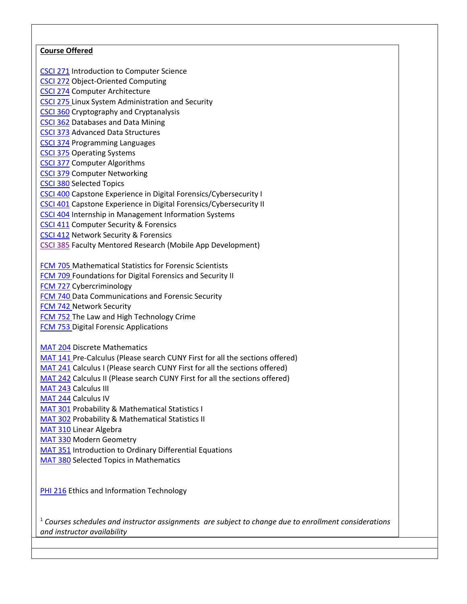## **Course Offered**

[CSCI 271](http://jjay.smartcatalogiq.com/en/2016-2017/Undergraduate-Bulletin/Course-Descriptions/CSCI-Computer-Science/200/CSCI-271) Introduction to Computer Science

[CSCI 272](http://jjay.smartcatalogiq.com/en/2016-2017/Undergraduate-Bulletin/Course-Descriptions/CSCI-Computer-Science/200/CSCI-272) Object-Oriented Computing

[CSCI 274](http://jjay.smartcatalogiq.com/en/2016-2017/Undergraduate-Bulletin/Course-Descriptions/CSCI-Computer-Science/200/CSCI-274) Computer Architecture

[CSCI 275 Linux System Administration and Security](http://jjay.smartcatalogiq.com/en/2018-2019/Undergraduate-Bulletin/Course-Descriptions/CSCI-Computer-Science/200/CSCI-275)

[CSCI 360](http://jjay.smartcatalogiq.com/en/2016-2017/Undergraduate-Bulletin/Course-Descriptions/CSCI-Computer-Science/300/CSCI-360) Cryptography and Cryptanalysis

[CSCI 362](http://jjay.smartcatalogiq.com/en/2016-2017/Undergraduate-Bulletin/Course-Descriptions/CSCI-Computer-Science/300/CSCI-362) Databases and Data Mining

[CSCI 373](http://jjay.smartcatalogiq.com/en/2016-2017/Undergraduate-Bulletin/Course-Descriptions/CSCI-Computer-Science/300/CSCI-373) Advanced Data Structures

[CSCI 374](http://jjay.smartcatalogiq.com/en/2016-2017/Undergraduate-Bulletin/Course-Descriptions/CSCI-Computer-Science/300/CSCI-374) Programming Languages

[CSCI 375](http://jjay.smartcatalogiq.com/en/2016-2017/Undergraduate-Bulletin/Course-Descriptions/CSCI-Computer-Science/300/CSCI-375) Operating Systems

[CSCI 377](http://jjay.smartcatalogiq.com/en/2016-2017/Undergraduate-Bulletin/Course-Descriptions/CSCI-Computer-Science/300/CSCI-377) Computer Algorithms

[CSCI 379](http://jjay.smartcatalogiq.com/en/2016-2017/Undergraduate-Bulletin/Course-Descriptions/CSCI-Computer-Science/300/CSCI-379) Computer Networking

[CSCI 380](http://jjay.smartcatalogiq.com/en/2016-2017/Undergraduate-Bulletin/Course-Descriptions/CSCI-Computer-Science/300/CSCI-380) Selected Topics

[CSCI 400](http://jjay.smartcatalogiq.com/en/2016-2017/Undergraduate-Bulletin/Course-Descriptions/CSCI-Computer-Science/400/CSCI-400) Capstone Experience in Digital Forensics/Cybersecurity I

[CSCI](http://jjay.smartcatalogiq.com/en/2016-2017/Undergraduate-Bulletin/Course-Descriptions/CSCI-Computer-Science/400/CSCI-401) 401 Capstone Experience in Digital Forensics/Cybersecurity II

[CSCI 404](http://jjay.smartcatalogiq.com/en/2016-2017/Undergraduate-Bulletin/Course-Descriptions/CSCI-Computer-Science/400/CSCI-404) Internship in Management Information Systems

[CSCI 411](http://jjay.smartcatalogiq.com/en/2016-2017/Undergraduate-Bulletin/Course-Descriptions/CSCI-Computer-Science/400/CSCI-411) Computer Security & Forensics

[CSCI 412](http://jjay.smartcatalogiq.com/en/2016-2017/Undergraduate-Bulletin/Course-Descriptions/CSCI-Computer-Science/400/CSCI-412) Network Security & Forensics

[CSCI 385](http://jjay.smartcatalogiq.com/2016-2017/Undergraduate-Bulletin/Course-Descriptions/CSCI-Computer-Science/300/CSCI-385) Faculty Mentored Research (Mobile App Development)

[FCM 705 Mathematical Statistics for Forensic Scientists](http://jjay.smartcatalogiq.com/2018-2019/Graduate-Bulletin/Courses/FCM-Forensic-Computing/700/FCM-705)

[FCM 709 Foundations for Digital Forensics and Security II](http://jjay.smartcatalogiq.com/2018-2019/Graduate-Bulletin/Courses/FCM-Forensic-Computing/700/FCM-709)

FCM 727 [Cybercriminology](http://jjay.smartcatalogiq.com/2018-2019/Graduate-Bulletin/Courses/FCM-Forensic-Computing/700/FCM-727)

[FCM 740 Data Communications and Forensic Security](http://jjay.smartcatalogiq.com/2018-2019/Graduate-Bulletin/Courses/FCM-Forensic-Computing/700/FCM-740)

[FCM 742 Network Security](http://jjay.smartcatalogiq.com/2018-2019/Graduate-Bulletin/Courses/FCM-Forensic-Computing/700/FCM-742)

[FCM 752 The Law and High Technology Crime](http://jjay.smartcatalogiq.com/2018-2019/Graduate-Bulletin/Courses/FCM-Forensic-Computing/700/FCM-752)

**[FCM 753 Digital Forensic Applications](http://jjay.smartcatalogiq.com/2018-2019/Graduate-Bulletin/Courses/FCM-Forensic-Computing/700/FCM-753)** 

[MAT 204](http://jjay.smartcatalogiq.com/en/2016-2017/Undergraduate-Bulletin/Course-Descriptions/MAT-Mathematics/200/MAT-204) Discrete Mathematics

[MAT 141 Pre-Calculus](http://jjay.smartcatalogiq.com/2018-2019/Undergraduate-Bulletin/Course-Descriptions/MAT-Mathematics/100/MAT-141) (Please search CUNY First for all the sections offered)

[MAT 241](http://jjay.smartcatalogiq.com/en/2016-2017/Undergraduate-Bulletin/Course-Descriptions/MAT-Mathematics/200/MAT-241) Calculus I (Please search CUNY First for all the sections offered)

[MAT 242](http://jjay.smartcatalogiq.com/en/2016-2017/Undergraduate-Bulletin/Course-Descriptions/MAT-Mathematics/200/MAT-242) Calculus II (Please search CUNY First for all the sections offered)

[MAT 243](http://jjay.smartcatalogiq.com/en/2016-2017/Undergraduate-Bulletin/Course-Descriptions/MAT-Mathematics/200/MAT-243) Calculus III

[MAT 244](http://jjay.smartcatalogiq.com/en/2017-2018/Undergraduate-Bulletin/Course-Descriptions/MAT-Mathematics/200/MAT-244) Calculus IV

[MAT 301](http://jjay.smartcatalogiq.com/en/2016-2017/Undergraduate-Bulletin/Course-Descriptions/MAT-Mathematics/300/MAT-301) Probability & Mathematical Statistics I

[MAT 302](http://jjay.smartcatalogiq.com/en/2017-2018/Undergraduate-Bulletin/Course-Descriptions/MAT-Mathematics/300/MAT-302) Probability & Mathematical Statistics II

[MAT 310](http://jjay.smartcatalogiq.com/en/2016-2017/Undergraduate-Bulletin/Course-Descriptions/MAT-Mathematics/300/MAT-310) Linear Algebra

[MAT 330](http://jjay.smartcatalogiq.com/en/2016-2017/Undergraduate-Bulletin/Course-Descriptions/MAT-Mathematics/300/MAT-330) Modern Geometry

[MAT 351](http://jjay.smartcatalogiq.com/en/2017-2018/Undergraduate-Bulletin/Course-Descriptions/MAT-Mathematics/300/MAT-351) Introduction to Ordinary Differential Equations

[MAT](http://jjay.smartcatalogiq.com/en/2016-2017/Undergraduate-Bulletin/Course-Descriptions/MAT-Mathematics/300/MAT-380) 380 Selected Topics in Mathematics

[PHI 216](http://jjay.smartcatalogiq.com/en/2016-2017/Undergraduate-Bulletin/Course-Descriptions/PHI-Philosophy/200/PHI-216) Ethics and Information Technology

<sup>1</sup> *Courses schedules and instructor assignments are subject to change due to enrollment considerations and instructor availability*